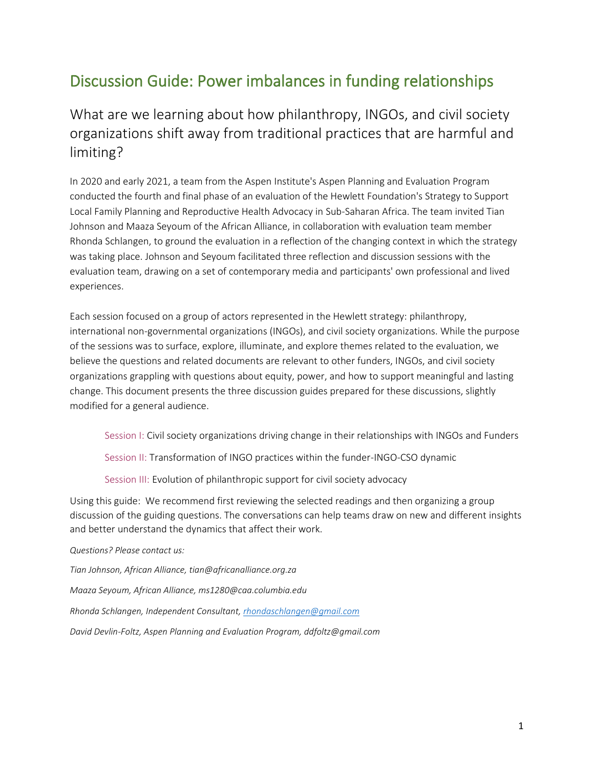### Discussion Guide: Power imbalances in funding relationships

What are we learning about how philanthropy, INGOs, and civil society organizations shift away from traditional practices that are harmful and limiting?

In 2020 and early 2021, a team from the Aspen Institute's Aspen Planning and Evaluation Program conducted the fourth and final phase of an evaluation of the Hewlett Foundation's Strategy to Support Local Family Planning and Reproductive Health Advocacy in Sub-Saharan Africa. The team invited Tian Johnson and Maaza Seyoum of the African Alliance, in collaboration with evaluation team member Rhonda Schlangen, to ground the evaluation in a reflection of the changing context in which the strategy was taking place. Johnson and Seyoum facilitated three reflection and discussion sessions with the evaluation team, drawing on a set of contemporary media and participants' own professional and lived experiences.

Each session focused on a group of actors represented in the Hewlett strategy: philanthropy, international non-governmental organizations (INGOs), and civil society organizations. While the purpose of the sessions was to surface, explore, illuminate, and explore themes related to the evaluation, we believe the questions and related documents are relevant to other funders, INGOs, and civil society organizations grappling with questions about equity, power, and how to support meaningful and lasting change. This document presents the three discussion guides prepared for these discussions, slightly modified for a general audience.

Session I: Civil society organizations driving change in their relationships with INGOs and Funders

Session II: Transformation of INGO practices within the funder-INGO-CSO dynamic

Session III: Evolution of philanthropic support for civil society advocacy

Using this guide: We recommend first reviewing the selected readings and then organizing a group discussion of the guiding questions. The conversations can help teams draw on new and different insights and better understand the dynamics that affect their work.

#### *Questions? Please contact us:*

*Tian Johnson, African Alliance, tian@africanalliance.org.za Maaza Seyoum, African Alliance, ms1280@caa.columbia.edu Rhonda Schlangen, Independent Consultant, [rhondaschlangen@gmail.com](mailto:rhondaschlangen@gmail.com) David Devlin-Foltz, Aspen Planning and Evaluation Program, ddfoltz@gmail.com*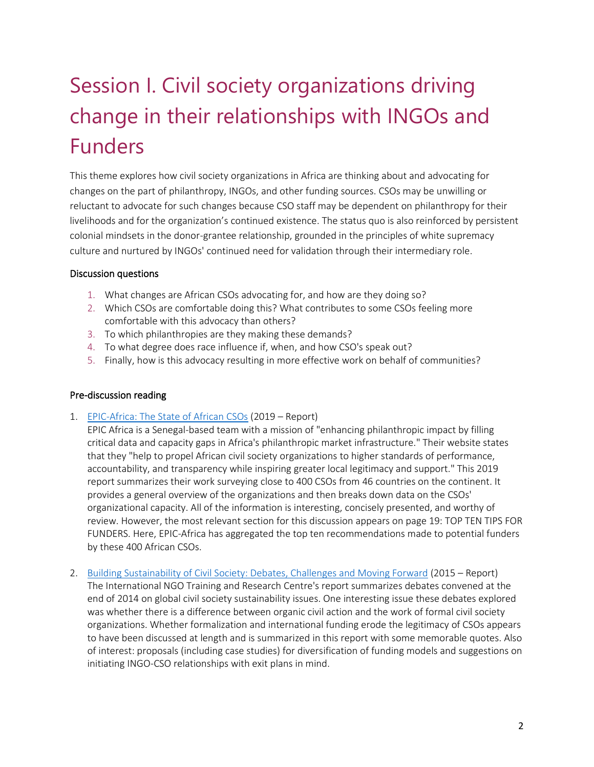# Session I. Civil society organizations driving change in their relationships with INGOs and Funders

This theme explores how civil society organizations in Africa are thinking about and advocating for changes on the part of philanthropy, INGOs, and other funding sources. CSOs may be unwilling or reluctant to advocate for such changes because CSO staff may be dependent on philanthropy for their livelihoods and for the organization's continued existence. The status quo is also reinforced by persistent colonial mindsets in the donor-grantee relationship, grounded in the principles of white supremacy culture and nurtured by INGOs' continued need for validation through their intermediary role.

#### Discussion questions

- 1. What changes are African CSOs advocating for, and how are they doing so?
- 2. Which CSOs are comfortable doing this? What contributes to some CSOs feeling more comfortable with this advocacy than others?
- 3. To which philanthropies are they making these demands?
- 4. To what degree does race influence if, when, and how CSO's speak out?
- 5. Finally, how is this advocacy resulting in more effective work on behalf of communities?

#### Pre-discussion reading

1. [EPIC-Africa: The State of African CSOs](https://static1.squarespace.com/static/5638d8dbe4b087140cc9098d/t/5e2a97aff0a5822b10b85a41/1579849672917/EPIC+Africa+The+state+of+african+CSOs+report+2019_EN.pdf) (2019 – Report)

EPIC Africa is a Senegal-based team with a mission of "enhancing philanthropic impact by filling critical data and capacity gaps in Africa's philanthropic market infrastructure." Their website states that they "help to propel African civil society organizations to higher standards of performance, accountability, and transparency while inspiring greater local legitimacy and support." This 2019 report summarizes their work surveying close to 400 CSOs from 46 countries on the continent. It provides a general overview of the organizations and then breaks down data on the CSOs' organizational capacity. All of the information is interesting, concisely presented, and worthy of review. However, the most relevant section for this discussion appears on page 19: TOP TEN TIPS FOR FUNDERS. Here, EPIC-Africa has aggregated the top ten recommendations made to potential funders by these 400 African CSOs.

2. [Building Sustainability of Civil Society: Debates, Challenges and Moving Forward](https://www.intrac.org/wpcms/wp-content/uploads/2016/09/Debates-challenges-and-moving-forward.-Lewis-Boateng-Hayaman.-INTRAC-2015.pdf) (2015 – Report) The International NGO Training and Research Centre's report summarizes debates convened at the end of 2014 on global civil society sustainability issues. One interesting issue these debates explored was whether there is a difference between organic civil action and the work of formal civil society organizations. Whether formalization and international funding erode the legitimacy of CSOs appears to have been discussed at length and is summarized in this report with some memorable quotes. Also of interest: proposals (including case studies) for diversification of funding models and suggestions on initiating INGO-CSO relationships with exit plans in mind.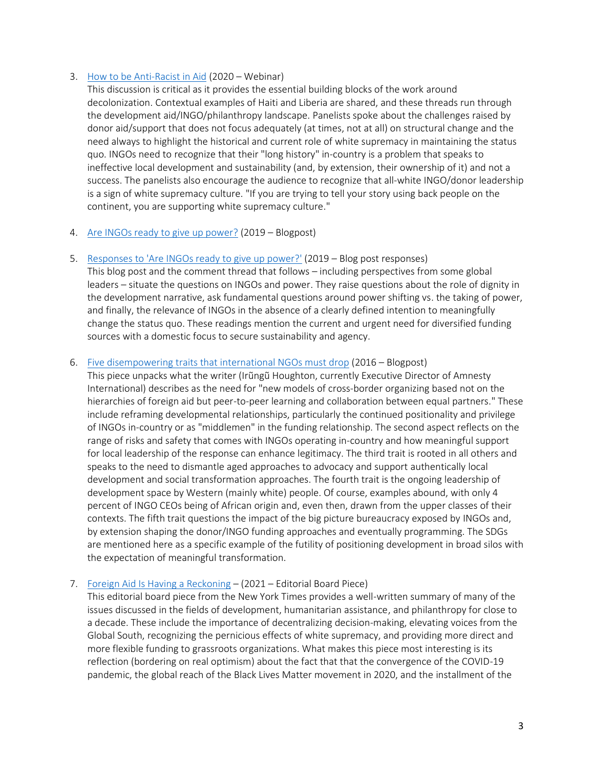#### 3. [How to be Anti-Racist in Aid](https://medium.com/aidreimagined/video-how-to-be-anti-racist-in-aid-a6eaebc54d3e) (2020 – Webinar)

This discussion is critical as it provides the essential building blocks of the work around decolonization. Contextual examples of Haiti and Liberia are shared, and these threads run through the development aid/INGO/philanthropy landscape. Panelists spoke about the challenges raised by donor aid/support that does not focus adequately (at times, not at all) on structural change and the need always to highlight the historical and current role of white supremacy in maintaining the status quo. INGOs need to recognize that their "long history" in-country is a problem that speaks to ineffective local development and sustainability (and, by extension, their ownership of it) and not a success. The panelists also encourage the audience to recognize that all-white INGO/donor leadership is a sign of white supremacy culture. "If you are trying to tell your story using back people on the continent, you are supporting white supremacy culture."

#### 4. [Are INGOs ready to give up power?](https://oxfamblogs.org/fp2p/are-ingos-ready-to-give-up-power/#comments-wrapper) (2019 – Blogpost)

5. [Responses to 'Are INGOs ready to give up power?'](https://oxfamblogs.org/fp2p/responses-to-are-ingos-ready-to-give-up-power/#comments-wrapper) (2019 – Blog post responses)

This blog post and the comment thread that follows – including perspectives from some global leaders – situate the questions on INGOs and power. They raise questions about the role of dignity in the development narrative, ask fundamental questions around power shifting vs. the taking of power, and finally, the relevance of INGOs in the absence of a clearly defined intention to meaningfully change the status quo. These readings mention the current and urgent need for diversified funding sources with a domestic focus to secure sustainability and agency.

#### 6. [Five disempowering traits that international NGOs must drop](https://www.opendemocracy.net/en/transformation/five-disempowering-traits-that-international-ngos-must-drop/) (2016 – Blogpost)

This piece unpacks what the writer (Irũngũ Houghton, currently Executive Director of Amnesty International) describes as the need for "new models of cross-border organizing based not on the hierarchies of foreign aid but peer-to-peer learning and collaboration between equal partners." These include reframing developmental relationships, particularly the continued positionality and privilege of INGOs in-country or as "middlemen" in the funding relationship. The second aspect reflects on the range of risks and safety that comes with INGOs operating in-country and how meaningful support for local leadership of the response can enhance legitimacy. The third trait is rooted in all others and speaks to the need to dismantle aged approaches to advocacy and support authentically local development and social transformation approaches. The fourth trait is the ongoing leadership of development space by Western (mainly white) people. Of course, examples abound, with only 4 percent of INGO CEOs being of African origin and, even then, drawn from the upper classes of their contexts. The fifth trait questions the impact of the big picture bureaucracy exposed by INGOs and, by extension shaping the donor/INGO funding approaches and eventually programming. The SDGs are mentioned here as a specific example of the futility of positioning development in broad silos with the expectation of meaningful transformation.

#### 7. Foreign [Aid Is Having a Reckoning](https://www-nytimes-com.cdn.ampproject.org/c/s/www.nytimes.com/2021/02/13/opinion/africa-foreign-aid-philanthropy.amp.html) – (2021 – Editorial Board Piece)

This editorial board piece from the New York Times provides a well-written summary of many of the issues discussed in the fields of development, humanitarian assistance, and philanthropy for close to a decade. These include the importance of decentralizing decision-making, elevating voices from the Global South, recognizing the pernicious effects of white supremacy, and providing more direct and more flexible funding to grassroots organizations. What makes this piece most interesting is its reflection (bordering on real optimism) about the fact that that the convergence of the COVID-19 pandemic, the global reach of the Black Lives Matter movement in 2020, and the installment of the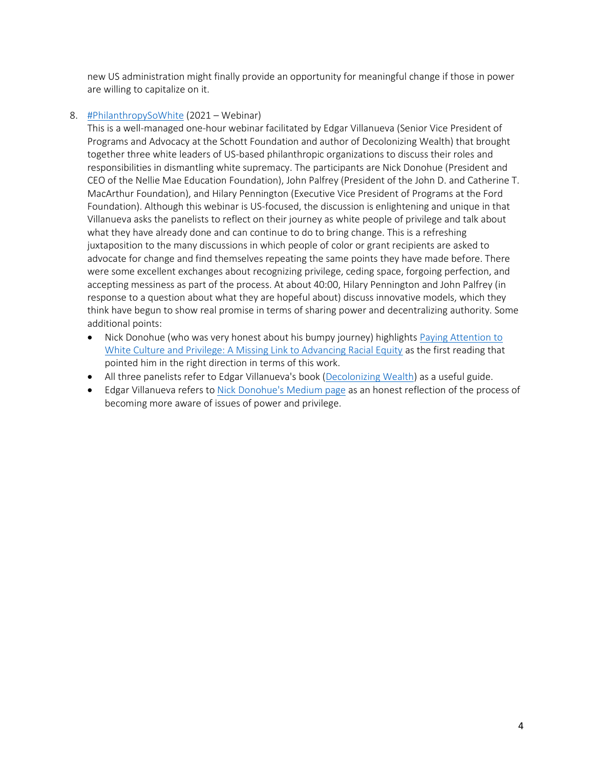new US administration might finally provide an opportunity for meaningful change if those in power are willing to capitalize on it.

#### 8. [#PhilanthropySoWhite](https://youtu.be/29YBL-6udc0) (2021 – Webinar)

This is a well-managed one-hour webinar facilitated by Edgar Villanueva (Senior Vice President of Programs and Advocacy at the Schott Foundation and author of Decolonizing Wealth) that brought together three white leaders of US-based philanthropic organizations to discuss their roles and responsibilities in dismantling white supremacy. The participants are Nick Donohue (President and CEO of the Nellie Mae Education Foundation), John Palfrey (President of the John D. and Catherine T. MacArthur Foundation), and Hilary Pennington (Executive Vice President of Programs at the Ford Foundation). Although this webinar is US-focused, the discussion is enlightening and unique in that Villanueva asks the panelists to reflect on their journey as white people of privilege and talk about what they have already done and can continue to do to bring change. This is a refreshing juxtaposition to the many discussions in which people of color or grant recipients are asked to advocate for change and find themselves repeating the same points they have made before. There were some excellent exchanges about recognizing privilege, ceding space, forgoing perfection, and accepting messiness as part of the process. At about 40:00, Hilary Pennington and John Palfrey (in response to a question about what they are hopeful about) discuss innovative models, which they think have begun to show real promise in terms of sharing power and decentralizing authority. Some additional points:

- Nick Donohue (who was very honest about his bumpy journey) highlight[s Paying Attention to](https://scholarworks.gvsu.edu/cgi/viewcontent.cgi?article=1189&context=tfr)  [White Culture and Privilege: A Missing Link to Advancing Racial Equity](https://scholarworks.gvsu.edu/cgi/viewcontent.cgi?article=1189&context=tfr) as the first reading that pointed him in the right direction in terms of this work.
- All three panelists refer to Edgar Villanueva's book [\(Decolonizing Wealth\)](https://www.dropbox.com/s/t7iv1dy5ro5l6x6/Villanueva%20-%20Decolonizing%20Wealth.pdf?dl=0) as a useful guide.
- Edgar Villanueva refers to [Nick Donohue's](https://medium.com/@NickDonohueNMEF) Medium page as an honest reflection of the process of becoming more aware of issues of power and privilege.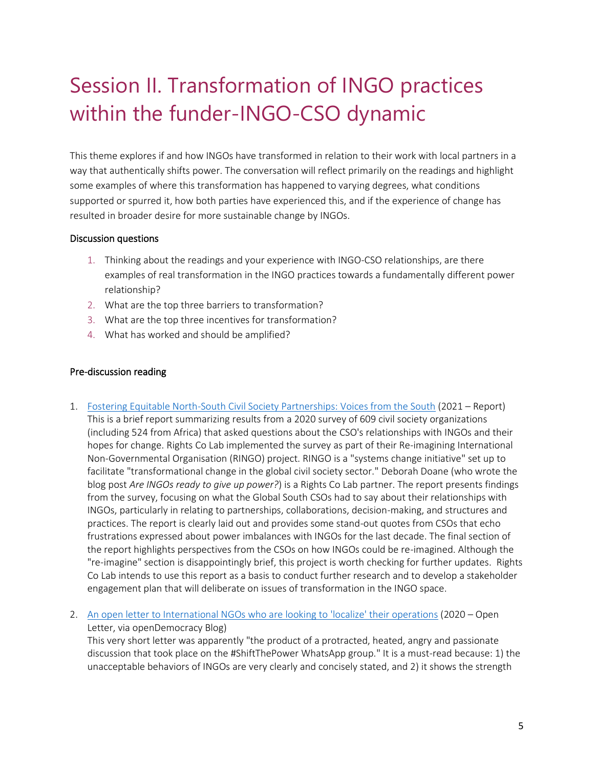## Session II. Transformation of INGO practices within the funder-INGO-CSO dynamic

This theme explores if and how INGOs have transformed in relation to their work with local partners in a way that authentically shifts power. The conversation will reflect primarily on the readings and highlight some examples of where this transformation has happened to varying degrees, what conditions supported or spurred it, how both parties have experienced this, and if the experience of change has resulted in broader desire for more sustainable change by INGOs.

#### Discussion questions

- 1. Thinking about the readings and your experience with INGO-CSO relationships, are there examples of real transformation in the INGO practices towards a fundamentally different power relationship?
- 2. What are the top three barriers to transformation?
- 3. What are the top three incentives for transformation?
- 4. What has worked and should be amplified?

#### Pre-discussion reading

- 1. [Fostering Equitable North-South Civil Society Partnerships: Voices from the South](https://rightscolab.org/wp-content/uploads/2021/03/RINGO-RESEARCH-REPORT-FINAL-V-compressed.pdf) (2021 Report) This is a brief report summarizing results from a 2020 survey of 609 civil society organizations (including 524 from Africa) that asked questions about the CSO's relationships with INGOs and their hopes for change. Rights Co Lab implemented the survey as part of their Re-imagining International Non-Governmental Organisation (RINGO) project. RINGO is a "systems change initiative" set up to facilitate "transformational change in the global civil society sector." Deborah Doane (who wrote the blog post *Are INGOs ready to give up power?*) is a Rights Co Lab partner. The report presents findings from the survey, focusing on what the Global South CSOs had to say about their relationships with INGOs, particularly in relating to partnerships, collaborations, decision-making, and structures and practices. The report is clearly laid out and provides some stand-out quotes from CSOs that echo frustrations expressed about power imbalances with INGOs for the last decade. The final section of the report highlights perspectives from the CSOs on how INGOs could be re-imagined. Although the "re-imagine" section is disappointingly brief, this project is worth checking for further updates. Rights Co Lab intends to use this report as a basis to conduct further research and to develop a stakeholder engagement plan that will deliberate on issues of transformation in the INGO space.
- 2. [An open letter to International NGOs who are looking to 'localize'](https://www.opendemocracy.net/en/transformation/an-open-letter-to-international-ngos-who-are-looking-to-localise-their-operations/) their operations (2020 Open Letter, via openDemocracy Blog)

This very short letter was apparently "the product of a protracted, heated, angry and passionate discussion that took place on the #ShiftThePower WhatsApp group." It is a must-read because: 1) the unacceptable behaviors of INGOs are very clearly and concisely stated, and 2) it shows the strength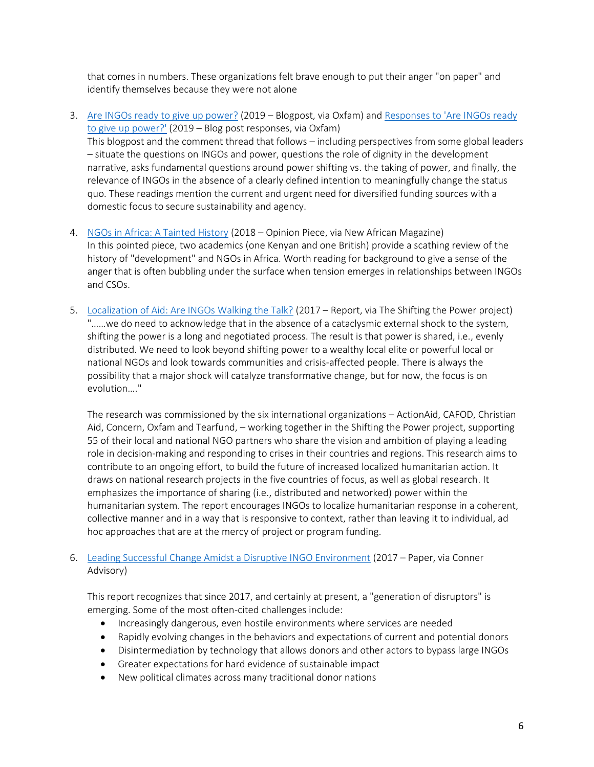that comes in numbers. These organizations felt brave enough to put their anger "on paper" and identify themselves because they were not alone

- 3. [Are INGOs ready to give up power?](https://oxfamblogs.org/fp2p/are-ingos-ready-to-give-up-power/#comments-wrapper) (2019 Blogpost, via Oxfam) and Responses to 'Are INGOs ready [to give up power?'](https://oxfamblogs.org/fp2p/responses-to-are-ingos-ready-to-give-up-power/#comments-wrapper) (2019 – Blog post responses, via Oxfam) This blogpost and the comment thread that follows – including perspectives from some global leaders – situate the questions on INGOs and power, questions the role of dignity in the development narrative, asks fundamental questions around power shifting vs. the taking of power, and finally, the relevance of INGOs in the absence of a clearly defined intention to meaningfully change the status quo. These readings mention the current and urgent need for diversified funding sources with a domestic focus to secure sustainability and agency.
- 4. [NGOs in Africa: A Tainted History](https://newafricanmagazine.com/16536/) (2018 Opinion Piece, via New African Magazine) In this pointed piece, two academics (one Kenyan and one British) provide a scathing review of the history of "development" and NGOs in Africa. Worth reading for background to give a sense of the anger that is often bubbling under the surface when tension emerges in relationships between INGOs and CSOs.
- 5. [Localization of Aid: Are INGOs Walking the Talk?](https://reliefweb.int/sites/reliefweb.int/files/resources/WTT_FINAL.pdf) (2017 Report, via The Shifting the Power project) "……we do need to acknowledge that in the absence of a cataclysmic external shock to the system, shifting the power is a long and negotiated process. The result is that power is shared, i.e., evenly distributed. We need to look beyond shifting power to a wealthy local elite or powerful local or national NGOs and look towards communities and crisis-affected people. There is always the possibility that a major shock will catalyze transformative change, but for now, the focus is on evolution…."

The research was commissioned by the six international organizations – ActionAid, CAFOD, Christian Aid, Concern, Oxfam and Tearfund, – working together in the Shifting the Power project, supporting 55 of their local and national NGO partners who share the vision and ambition of playing a leading role in decision-making and responding to crises in their countries and regions. This research aims to contribute to an ongoing effort, to build the future of increased localized humanitarian action. It draws on national research projects in the five countries of focus, as well as global research. It emphasizes the importance of sharing (i.e., distributed and networked) power within the humanitarian system. The report encourages INGOs to localize humanitarian response in a coherent, collective manner and in a way that is responsive to context, rather than leaving it to individual, ad hoc approaches that are at the mercy of project or program funding.

6. [Leading Successful Change Amidst a Disruptive INGO Environment](https://www.humentum.org/sites/default/files/Leading%20Successful%20Change%20Amidst%20a%20Disruptive%20INGO%20Environment.pdf) (2017 – Paper, via Conner Advisory)

This report recognizes that since 2017, and certainly at present, a "generation of disruptors" is emerging. Some of the most often-cited challenges include:

- Increasingly dangerous, even hostile environments where services are needed
- Rapidly evolving changes in the behaviors and expectations of current and potential donors
- Disintermediation by technology that allows donors and other actors to bypass large INGOs
- Greater expectations for hard evidence of sustainable impact
- New political climates across many traditional donor nations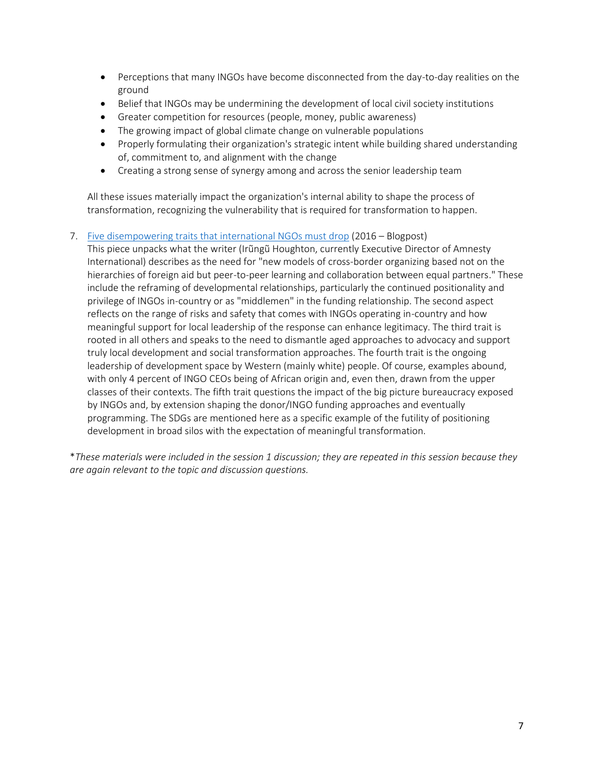- Perceptions that many INGOs have become disconnected from the day-to-day realities on the ground
- Belief that INGOs may be undermining the development of local civil society institutions
- Greater competition for resources (people, money, public awareness)
- The growing impact of global climate change on vulnerable populations
- Properly formulating their organization's strategic intent while building shared understanding of, commitment to, and alignment with the change
- Creating a strong sense of synergy among and across the senior leadership team

All these issues materially impact the organization's internal ability to shape the process of transformation, recognizing the vulnerability that is required for transformation to happen.

#### 7. [Five disempowering traits that international NGOs must drop](https://www.opendemocracy.net/en/transformation/five-disempowering-traits-that-international-ngos-must-drop/) (2016 – Blogpost)

This piece unpacks what the writer (Irũngũ Houghton, currently Executive Director of Amnesty International) describes as the need for "new models of cross-border organizing based not on the hierarchies of foreign aid but peer-to-peer learning and collaboration between equal partners." These include the reframing of developmental relationships, particularly the continued positionality and privilege of INGOs in-country or as "middlemen" in the funding relationship. The second aspect reflects on the range of risks and safety that comes with INGOs operating in-country and how meaningful support for local leadership of the response can enhance legitimacy. The third trait is rooted in all others and speaks to the need to dismantle aged approaches to advocacy and support truly local development and social transformation approaches. The fourth trait is the ongoing leadership of development space by Western (mainly white) people. Of course, examples abound, with only 4 percent of INGO CEOs being of African origin and, even then, drawn from the upper classes of their contexts. The fifth trait questions the impact of the big picture bureaucracy exposed by INGOs and, by extension shaping the donor/INGO funding approaches and eventually programming. The SDGs are mentioned here as a specific example of the futility of positioning development in broad silos with the expectation of meaningful transformation.

\**These materials were included in the session 1 discussion; they are repeated in this session because they are again relevant to the topic and discussion questions.*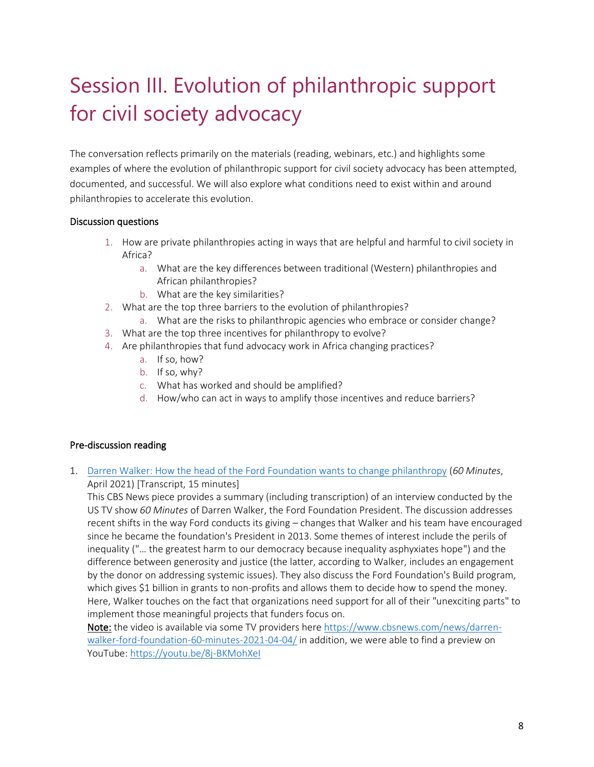## Session III. Evolution of philanthropic support for civil society advocacy

The conversation reflects primarily on the materials (reading, webinars, etc.) and highlights some examples of where the evolution of philanthropic support for civil society advocacy has been attempted, documented, and successful. We will also explore what conditions need to exist within and around philanthropies to accelerate this evolution.

#### Discussion questions

- 1. How are private philanthropies acting in ways that are helpful and harmful to civil society in Africa?
	- a. What are the key differences between traditional (Western) philanthropies and African philanthropies?
	- b. What are the key similarities?
- 2. What are the top three barriers to the evolution of philanthropies?
	- a. What are the risks to philanthropic agencies who embrace or consider change?
- 3. What are the top three incentives for philanthropy to evolve?
- 4. Are philanthropies that fund advocacy work in Africa changing practices?
	- a. If so, how?
	- b. If so, why?
	- c. What has worked and should be amplified?
	- d. How/who can act in ways to amplify those incentives and reduce barriers?

#### Pre-discussion reading

1. [Darren Walker: How the head of the Ford Foundation wants to change philanthropy](https://www.cbsnews.com/news/darren-walker-ford-foundation-60-minutes-2021-04-04/) (*60 Minutes*, April 2021) [Transcript, 15 minutes]

This CBS News piece provides a summary (including transcription) of an interview conducted by the US TV show *60 Minutes* of Darren Walker, the Ford Foundation President. The discussion addresses recent shifts in the way Ford conducts its giving – changes that Walker and his team have encouraged since he became the foundation's President in 2013. Some themes of interest include the perils of inequality ("… the greatest harm to our democracy because inequality asphyxiates hope") and the difference between generosity and justice (the latter, according to Walker, includes an engagement by the donor on addressing systemic issues). They also discuss the Ford Foundation's Build program, which gives \$1 billion in grants to non-profits and allows them to decide how to spend the money. Here, Walker touches on the fact that organizations need support for all of their "unexciting parts" to implement those meaningful projects that funders focus on.

Note: the video is available via some TV providers here [https://www.cbsnews.com/news/darren](https://www.cbsnews.com/news/darren-walker-ford-foundation-60-minutes-2021-04-04/)[walker-ford-foundation-60-minutes-2021-04-04/](https://www.cbsnews.com/news/darren-walker-ford-foundation-60-minutes-2021-04-04/) in addition, we were able to find a preview on YouTube:<https://youtu.be/8j-BKMohXeI>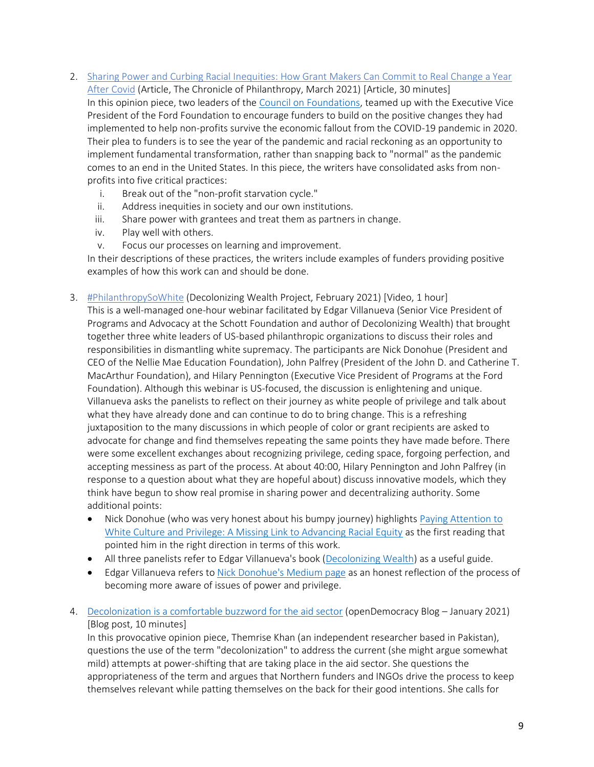- 2. [Sharing Power and Curbing Racial Inequities: How Grant Makers Can Commit to Real Change a Year](https://www.philanthropy.com/article/sharing-power-and-curbing-racial-inequities-how-grant-makers-can-commit-to-real-change-a-year-after-covid?cid2=gen_login_refresh&cid=gen_sign_in)  [After Covid](https://www.philanthropy.com/article/sharing-power-and-curbing-racial-inequities-how-grant-makers-can-commit-to-real-change-a-year-after-covid?cid2=gen_login_refresh&cid=gen_sign_in) (Article, The Chronicle of Philanthropy, March 2021) [Article, 30 minutes] In this opinion piece, two leaders of the [Council on Foundations,](https://www.cof.org/) teamed up with the Executive Vice President of the Ford Foundation to encourage funders to build on the positive changes they had implemented to help non-profits survive the economic fallout from the COVID-19 pandemic in 2020. Their plea to funders is to see the year of the pandemic and racial reckoning as an opportunity to implement fundamental transformation, rather than snapping back to "normal" as the pandemic comes to an end in the United States. In this piece, the writers have consolidated asks from nonprofits into five critical practices:
	- i. Break out of the "non-profit starvation cycle."
	- ii. Address inequities in society and our own institutions.
	- iii. Share power with grantees and treat them as partners in change.
	- iv. Play well with others.
	- v. Focus our processes on learning and improvement.

In their descriptions of these practices, the writers include examples of funders providing positive examples of how this work can and should be done.

3. [#PhilanthropySoWhite](https://youtu.be/29YBL-6udc0) (Decolonizing Wealth Project, February 2021) [Video, 1 hour]

This is a well-managed one-hour webinar facilitated by Edgar Villanueva (Senior Vice President of Programs and Advocacy at the Schott Foundation and author of Decolonizing Wealth) that brought together three white leaders of US-based philanthropic organizations to discuss their roles and responsibilities in dismantling white supremacy. The participants are Nick Donohue (President and CEO of the Nellie Mae Education Foundation), John Palfrey (President of the John D. and Catherine T. MacArthur Foundation), and Hilary Pennington (Executive Vice President of Programs at the Ford Foundation). Although this webinar is US-focused, the discussion is enlightening and unique. Villanueva asks the panelists to reflect on their journey as white people of privilege and talk about what they have already done and can continue to do to bring change. This is a refreshing juxtaposition to the many discussions in which people of color or grant recipients are asked to advocate for change and find themselves repeating the same points they have made before. There were some excellent exchanges about recognizing privilege, ceding space, forgoing perfection, and accepting messiness as part of the process. At about 40:00, Hilary Pennington and John Palfrey (in response to a question about what they are hopeful about) discuss innovative models, which they think have begun to show real promise in sharing power and decentralizing authority. Some additional points:

- Nick Donohue (who was very honest about his bumpy journey) highlights Paying Attention to [White Culture and Privilege: A Missing Link to Advancing Racial Equity](https://scholarworks.gvsu.edu/cgi/viewcontent.cgi?article=1189&context=tfr) as the first reading that pointed him in the right direction in terms of this work.
- All three panelists refer to Edgar Villanueva's book [\(Decolonizing Wealth\)](https://www.dropbox.com/s/t7iv1dy5ro5l6x6/Villanueva%20-%20Decolonizing%20Wealth.pdf?dl=0) as a useful guide.
- Edgar Villanueva refers to [Nick Donohue's](https://medium.com/@NickDonohueNMEF) Medium page as an honest reflection of the process of becoming more aware of issues of power and privilege.
- 4. Decolonization [is a comfortable buzzword for the aid sector](https://www.opendemocracy.net/en/decolonisation-comfortable-buzzword-aid-sector/) (openDemocracy Blog January 2021) [Blog post, 10 minutes]

In this provocative opinion piece, Themrise Khan (an independent researcher based in Pakistan), questions the use of the term "decolonization" to address the current (she might argue somewhat mild) attempts at power-shifting that are taking place in the aid sector. She questions the appropriateness of the term and argues that Northern funders and INGOs drive the process to keep themselves relevant while patting themselves on the back for their good intentions. She calls for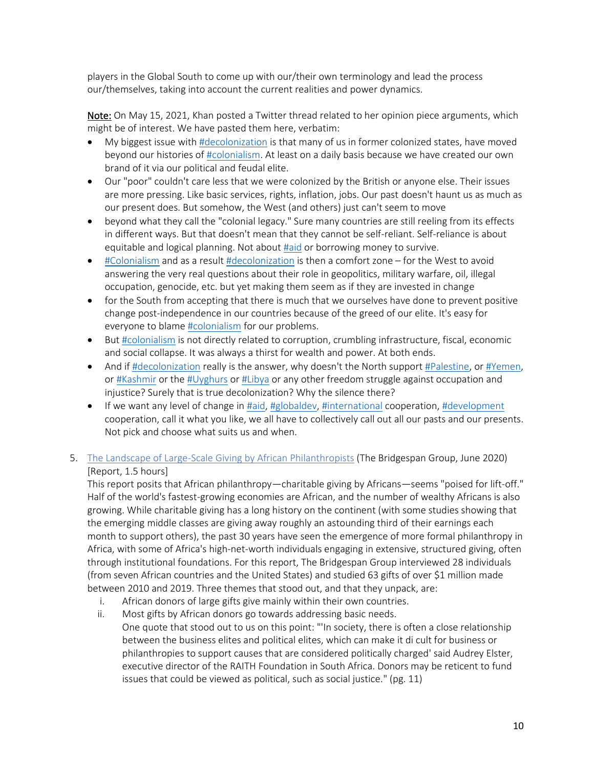players in the Global South to come up with our/their own terminology and lead the process our/themselves, taking into account the current realities and power dynamics.

Note: On May 15, 2021, Khan posted a Twitter thread related to her opinion piece arguments, which might be of interest. We have pasted them here, verbatim:

- My biggest issue wit[h #decolonization](https://twitter.com/hashtag/decolonization?src=hashtag_click) is that many of us in former colonized states, have moved beyond our histories of [#colonialism.](https://twitter.com/hashtag/colonialism?src=hashtag_click) At least on a daily basis because we have created our own brand of it via our political and feudal elite.
- Our "poor" couldn't care less that we were colonized by the British or anyone else. Their issues are more pressing. Like basic services, rights, inflation, jobs. Our past doesn't haunt us as much as our present does. But somehow, the West (and others) just can't seem to move
- beyond what they call the "colonial legacy." Sure many countries are still reeling from its effects in different ways. But that doesn't mean that they cannot be self-reliant. Self-reliance is about equitable and logical planning. Not about [#aid](https://twitter.com/hashtag/aid?src=hashtag_click) or borrowing money to survive.
- [#Colonialism](https://twitter.com/hashtag/Colonialism?src=hashtag_click) and as a result [#decolonization](https://twitter.com/hashtag/decolonization?src=hashtag_click) is then a comfort zone for the West to avoid answering the very real questions about their role in geopolitics, military warfare, oil, illegal occupation, genocide, etc. but yet making them seem as if they are invested in change
- for the South from accepting that there is much that we ourselves have done to prevent positive change post-independence in our countries because of the greed of our elite. It's easy for everyone to blam[e #colonialism](https://twitter.com/hashtag/colonialism?src=hashtag_click) for our problems.
- Bu[t #colonialism](https://twitter.com/hashtag/colonialism?src=hashtag_click) is not directly related to corruption, crumbling infrastructure, fiscal, economic and social collapse. It was always a thirst for wealth and power. At both ends.
- And if [#decolonization](https://twitter.com/hashtag/decolonization?src=hashtag_click) really is the answer, why doesn't the North support [#Palestine,](https://twitter.com/hashtag/Palestine?src=hashtag_click) or [#Yemen,](https://twitter.com/hashtag/Yemen?src=hashtag_click) or [#Kashmir](https://twitter.com/hashtag/Kashmir?src=hashtag_click) or the [#Uyghurs](https://twitter.com/hashtag/Uyghurs?src=hashtag_click) or [#Libya](https://twitter.com/hashtag/Libya?src=hashtag_click) or any other freedom struggle against occupation and injustice? Surely that is true decolonization? Why the silence there?
- If we want any level of change i[n #aid,](https://twitter.com/hashtag/aid?src=hashtag_click) #globaldey, [#international](https://twitter.com/hashtag/international?src=hashtag_click) cooperation[, #development](https://twitter.com/hashtag/development?src=hashtag_click) cooperation, call it what you like, we all have to collectively call out all our pasts and our presents. Not pick and choose what suits us and when.
- 5. [The Landscape of Large-Scale Giving by African Philanthropists](https://www.bridgespan.org/bridgespan/Images/articles/research-brief-african-philanthropy/research-brief-landscape-of-large-scale-giving-in-africa.pdf) (The Bridgespan Group, June 2020) [Report, 1.5 hours]

This report posits that African philanthropy—charitable giving by Africans—seems "poised for lift-off." Half of the world's fastest-growing economies are African, and the number of wealthy Africans is also growing. While charitable giving has a long history on the continent (with some studies showing that the emerging middle classes are giving away roughly an astounding third of their earnings each month to support others), the past 30 years have seen the emergence of more formal philanthropy in Africa, with some of Africa's high-net-worth individuals engaging in extensive, structured giving, often through institutional foundations. For this report, The Bridgespan Group interviewed 28 individuals (from seven African countries and the United States) and studied 63 gifts of over \$1 million made between 2010 and 2019. Three themes that stood out, and that they unpack, are:

- i. African donors of large gifts give mainly within their own countries.
- ii. Most gifts by African donors go towards addressing basic needs. One quote that stood out to us on this point: "'In society, there is often a close relationship between the business elites and political elites, which can make it di cult for business or philanthropies to support causes that are considered politically charged' said Audrey Elster, executive director of the RAITH Foundation in South Africa. Donors may be reticent to fund issues that could be viewed as political, such as social justice." (pg. 11)